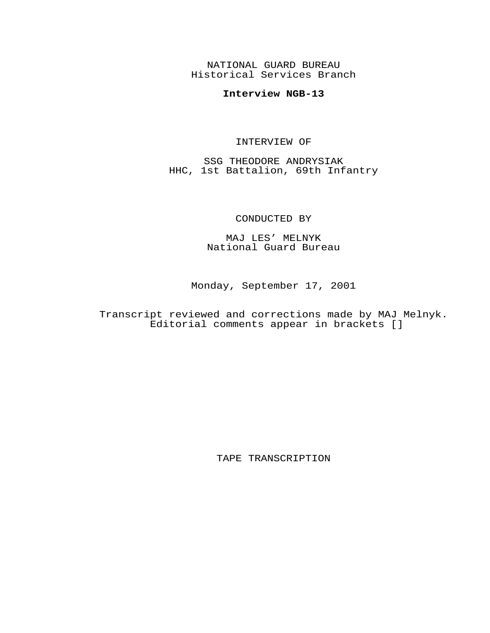NATIONAL GUARD BUREAU Historical Services Branch

## **Interview NGB-13**

## INTERVIEW OF

SSG THEODORE ANDRYSIAK HHC, 1st Battalion, 69th Infantry

## CONDUCTED BY

MAJ LES' MELNYK National Guard Bureau

Monday, September 17, 2001

Transcript reviewed and corrections made by MAJ Melnyk. Editorial comments appear in brackets []

TAPE TRANSCRIPTION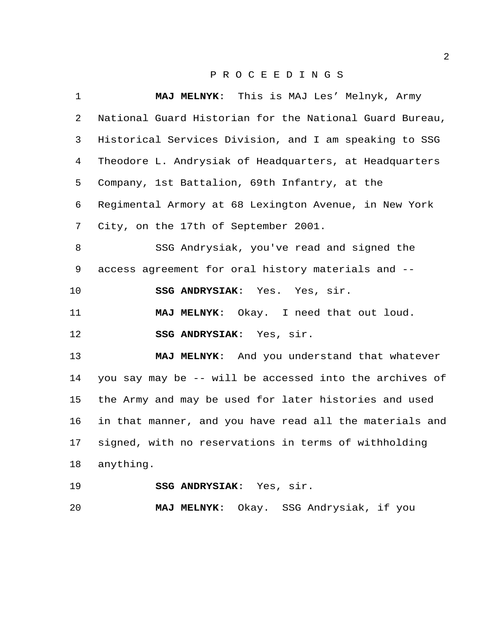## P R O C E E D I N G S

| $\mathbf 1$ | MAJ MELNYK: This is MAJ Les' Melnyk, Army               |
|-------------|---------------------------------------------------------|
| 2           | National Guard Historian for the National Guard Bureau, |
| 3           | Historical Services Division, and I am speaking to SSG  |
| 4           | Theodore L. Andrysiak of Headquarters, at Headquarters  |
| 5           | Company, 1st Battalion, 69th Infantry, at the           |
| 6           | Regimental Armory at 68 Lexington Avenue, in New York   |
| 7           | City, on the 17th of September 2001.                    |
| 8           | SSG Andrysiak, you've read and signed the               |
| 9           | access agreement for oral history materials and --      |
| 10          | SSG ANDRYSIAK: Yes. Yes, sir.                           |
| 11          | MAJ MELNYK: Okay. I need that out loud.                 |
| 12          | SSG ANDRYSIAK: Yes, sir.                                |
| 13          | MAJ MELNYK: And you understand that whatever            |
| 14          | you say may be -- will be accessed into the archives of |
| 15          | the Army and may be used for later histories and used   |
| 16          | in that manner, and you have read all the materials and |
|             |                                                         |
| 17          | signed, with no reservations in terms of withholding    |
| 18          | anything.                                               |
| 19          | SSG ANDRYSIAK: Yes, sir.                                |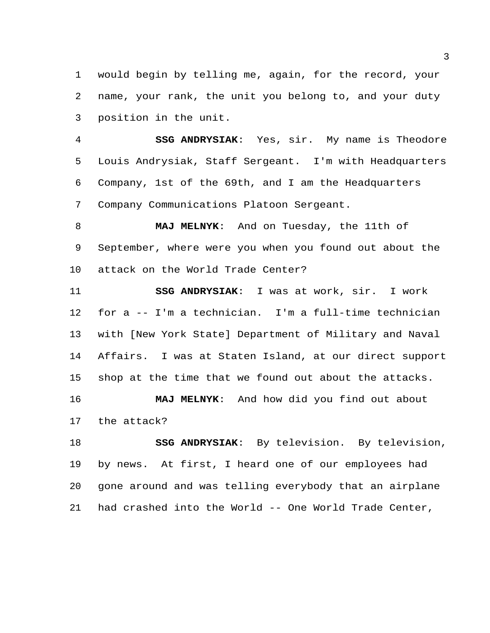would begin by telling me, again, for the record, your name, your rank, the unit you belong to, and your duty position in the unit.

 **SSG ANDRYSIAK**: Yes, sir. My name is Theodore Louis Andrysiak, Staff Sergeant. I'm with Headquarters Company, 1st of the 69th, and I am the Headquarters Company Communications Platoon Sergeant.

 **MAJ MELNYK**: And on Tuesday, the 11th of September, where were you when you found out about the attack on the World Trade Center?

 **SSG ANDRYSIAK**: I was at work, sir. I work for a -- I'm a technician. I'm a full-time technician with [New York State] Department of Military and Naval Affairs. I was at Staten Island, at our direct support shop at the time that we found out about the attacks. **MAJ MELNYK**: And how did you find out about

the attack?

 **SSG ANDRYSIAK**: By television. By television, by news. At first, I heard one of our employees had gone around and was telling everybody that an airplane had crashed into the World -- One World Trade Center,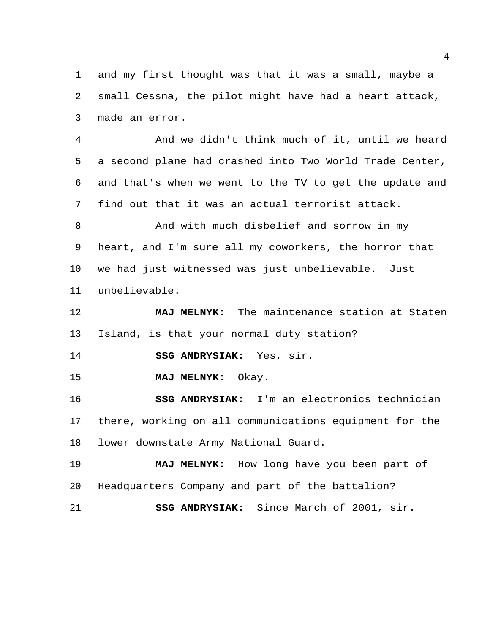and my first thought was that it was a small, maybe a small Cessna, the pilot might have had a heart attack, made an error.

 And we didn't think much of it, until we heard a second plane had crashed into Two World Trade Center, and that's when we went to the TV to get the update and find out that it was an actual terrorist attack.

 And with much disbelief and sorrow in my heart, and I'm sure all my coworkers, the horror that we had just witnessed was just unbelievable. Just unbelievable.

 **MAJ MELNYK**: The maintenance station at Staten Island, is that your normal duty station?

**SSG ANDRYSIAK**: Yes, sir.

**MAJ MELNYK**: Okay.

 **SSG ANDRYSIAK**: I'm an electronics technician there, working on all communications equipment for the lower downstate Army National Guard.

 **MAJ MELNYK**: How long have you been part of Headquarters Company and part of the battalion?

**SSG ANDRYSIAK**: Since March of 2001, sir.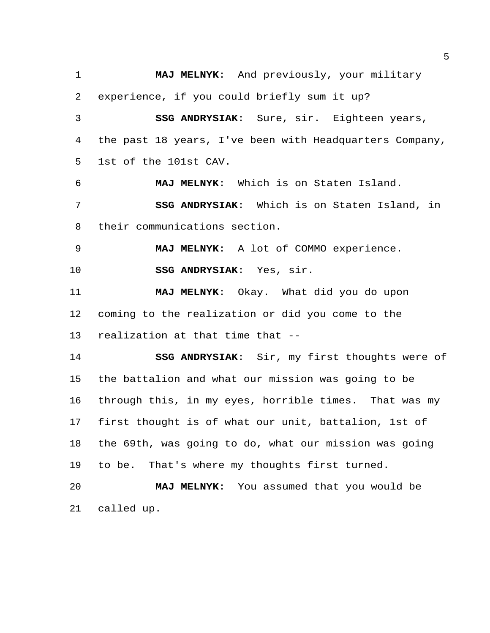**MAJ MELNYK**: And previously, your military experience, if you could briefly sum it up? **SSG ANDRYSIAK**: Sure, sir. Eighteen years,

 the past 18 years, I've been with Headquarters Company, 1st of the 101st CAV.

**MAJ MELNYK**: Which is on Staten Island.

 **SSG ANDRYSIAK**: Which is on Staten Island, in their communications section.

**MAJ MELNYK**: A lot of COMMO experience.

**SSG ANDRYSIAK**: Yes, sir.

 **MAJ MELNYK**: Okay. What did you do upon coming to the realization or did you come to the realization at that time that --

 **SSG ANDRYSIAK**: Sir, my first thoughts were of the battalion and what our mission was going to be through this, in my eyes, horrible times. That was my first thought is of what our unit, battalion, 1st of the 69th, was going to do, what our mission was going to be. That's where my thoughts first turned.

 **MAJ MELNYK**: You assumed that you would be called up.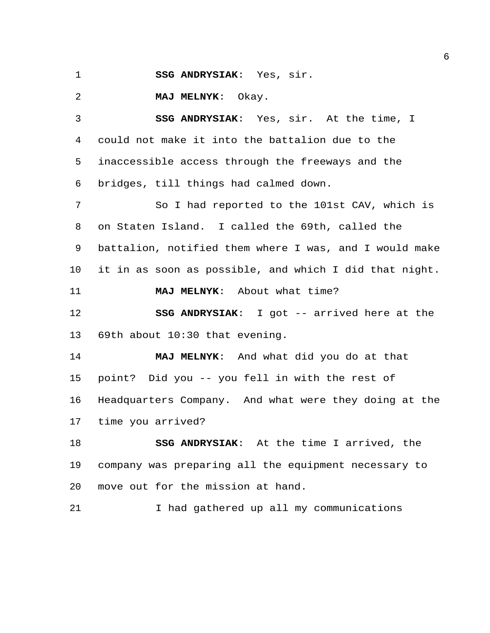**SSG ANDRYSIAK**: Yes, sir.

**MAJ MELNYK**: Okay.

 **SSG ANDRYSIAK**: Yes, sir. At the time, I could not make it into the battalion due to the inaccessible access through the freeways and the bridges, till things had calmed down.

7 So I had reported to the 101st CAV, which is on Staten Island. I called the 69th, called the battalion, notified them where I was, and I would make it in as soon as possible, and which I did that night. **MAJ MELNYK**: About what time?

 **SSG ANDRYSIAK**: I got -- arrived here at the 69th about 10:30 that evening.

 **MAJ MELNYK**: And what did you do at that point? Did you -- you fell in with the rest of Headquarters Company. And what were they doing at the time you arrived?

 **SSG ANDRYSIAK**: At the time I arrived, the company was preparing all the equipment necessary to move out for the mission at hand.

I had gathered up all my communications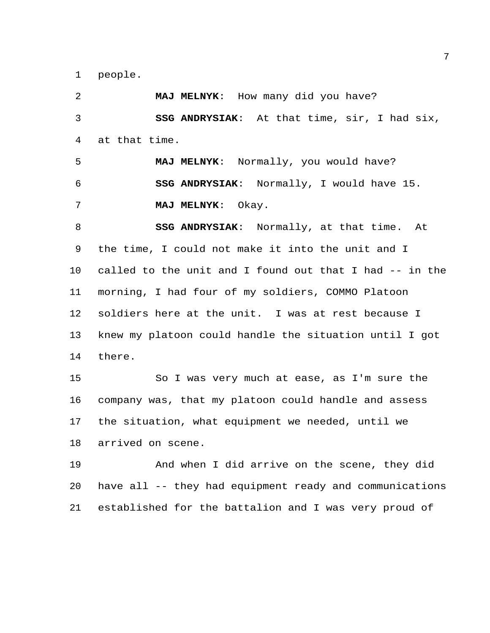people.

 **MAJ MELNYK**: How many did you have? **SSG ANDRYSIAK**: At that time, sir, I had six, at that time. **MAJ MELNYK**: Normally, you would have? **SSG ANDRYSIAK**: Normally, I would have 15. **MAJ MELNYK**: Okay. **SSG ANDRYSIAK**: Normally, at that time. At the time, I could not make it into the unit and I called to the unit and I found out that I had -- in the morning, I had four of my soldiers, COMMO Platoon soldiers here at the unit. I was at rest because I knew my platoon could handle the situation until I got there. So I was very much at ease, as I'm sure the company was, that my platoon could handle and assess the situation, what equipment we needed, until we arrived on scene. And when I did arrive on the scene, they did have all -- they had equipment ready and communications established for the battalion and I was very proud of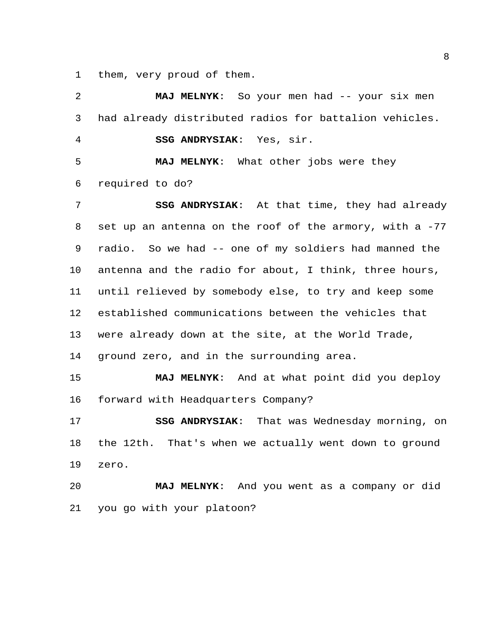them, very proud of them.

**MAJ MELNYK:** So your men had -- your six men had already distributed radios for battalion vehicles. **SSG ANDRYSIAK**: Yes, sir. **MAJ MELNYK**: What other jobs were they required to do? **SSG ANDRYSIAK**: At that time, they had already 8 set up an antenna on the roof of the armory, with a -77 radio. So we had -- one of my soldiers had manned the antenna and the radio for about, I think, three hours, until relieved by somebody else, to try and keep some established communications between the vehicles that were already down at the site, at the World Trade, ground zero, and in the surrounding area. **MAJ MELNYK**: And at what point did you deploy forward with Headquarters Company? **SSG ANDRYSIAK**: That was Wednesday morning, on the 12th. That's when we actually went down to ground zero. **MAJ MELNYK**: And you went as a company or did you go with your platoon?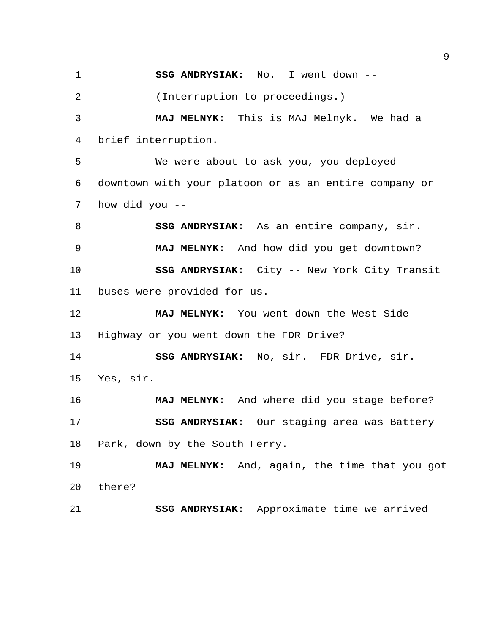(Interruption to proceedings.) **MAJ MELNYK**: This is MAJ Melnyk. We had a brief interruption.

**SSG ANDRYSIAK**: No. I went down --

 We were about to ask you, you deployed downtown with your platoon or as an entire company or how did you --

 **SSG ANDRYSIAK**: As an entire company, sir. **MAJ MELNYK**: And how did you get downtown? **SSG ANDRYSIAK**: City -- New York City Transit buses were provided for us.

 **MAJ MELNYK**: You went down the West Side Highway or you went down the FDR Drive?

 **SSG ANDRYSIAK**: No, sir. FDR Drive, sir. Yes, sir.

 **MAJ MELNYK**: And where did you stage before? **SSG ANDRYSIAK**: Our staging area was Battery Park, down by the South Ferry.

 **MAJ MELNYK**: And, again, the time that you got there?

**SSG ANDRYSIAK**: Approximate time we arrived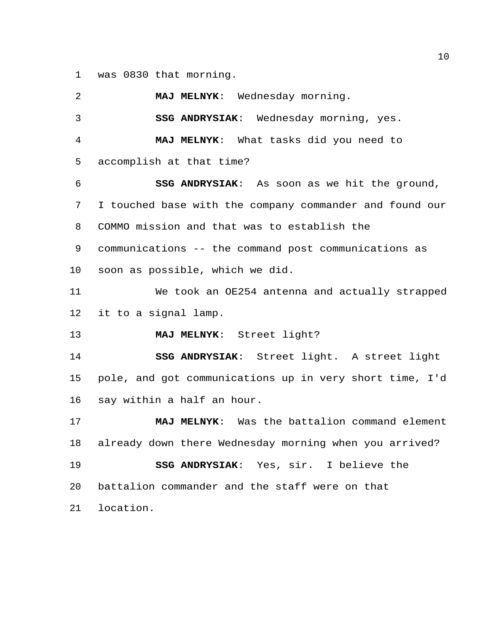was 0830 that morning.

 **MAJ MELNYK**: Wednesday morning. **SSG ANDRYSIAK**: Wednesday morning, yes. **MAJ MELNYK**: What tasks did you need to accomplish at that time? **SSG ANDRYSIAK**: As soon as we hit the ground, I touched base with the company commander and found our COMMO mission and that was to establish the communications -- the command post communications as soon as possible, which we did. We took an OE254 antenna and actually strapped it to a signal lamp. **MAJ MELNYK**: Street light? **SSG ANDRYSIAK**: Street light. A street light pole, and got communications up in very short time, I'd say within a half an hour. **MAJ MELNYK**: Was the battalion command element already down there Wednesday morning when you arrived? **SSG ANDRYSIAK**: Yes, sir. I believe the battalion commander and the staff were on that location.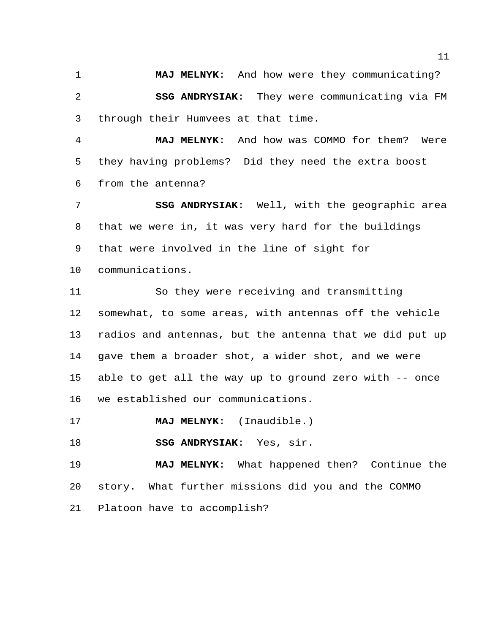**MAJ MELNYK**: And how were they communicating? **SSG ANDRYSIAK**: They were communicating via FM through their Humvees at that time.

 **MAJ MELNYK**: And how was COMMO for them? Were they having problems? Did they need the extra boost from the antenna?

 **SSG ANDRYSIAK**: Well, with the geographic area that we were in, it was very hard for the buildings that were involved in the line of sight for communications.

 So they were receiving and transmitting somewhat, to some areas, with antennas off the vehicle radios and antennas, but the antenna that we did put up gave them a broader shot, a wider shot, and we were able to get all the way up to ground zero with -- once we established our communications.

**MAJ MELNYK**: (Inaudible.)

**SSG ANDRYSIAK**: Yes, sir.

 **MAJ MELNYK**: What happened then? Continue the story. What further missions did you and the COMMO Platoon have to accomplish?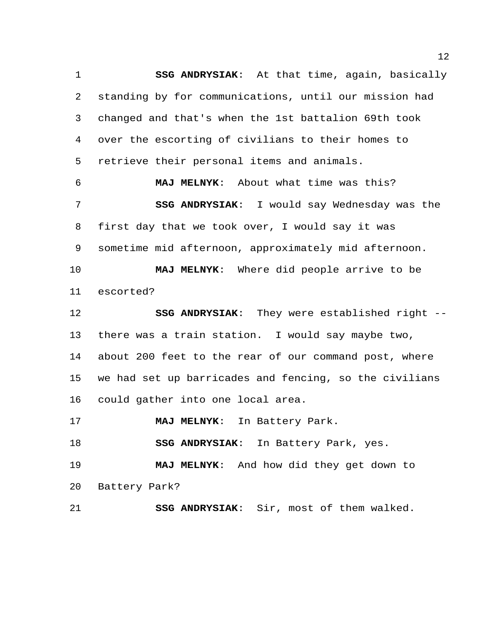**SSG ANDRYSIAK**: At that time, again, basically standing by for communications, until our mission had changed and that's when the 1st battalion 69th took over the escorting of civilians to their homes to retrieve their personal items and animals.

 **MAJ MELNYK**: About what time was this? **SSG ANDRYSIAK**: I would say Wednesday was the first day that we took over, I would say it was sometime mid afternoon, approximately mid afternoon.

 **MAJ MELNYK**: Where did people arrive to be escorted?

 **SSG ANDRYSIAK**: They were established right -- there was a train station. I would say maybe two, about 200 feet to the rear of our command post, where we had set up barricades and fencing, so the civilians could gather into one local area.

**MAJ MELNYK**: In Battery Park.

**SSG ANDRYSIAK**: In Battery Park, yes.

 **MAJ MELNYK**: And how did they get down to Battery Park?

**SSG ANDRYSIAK**: Sir, most of them walked.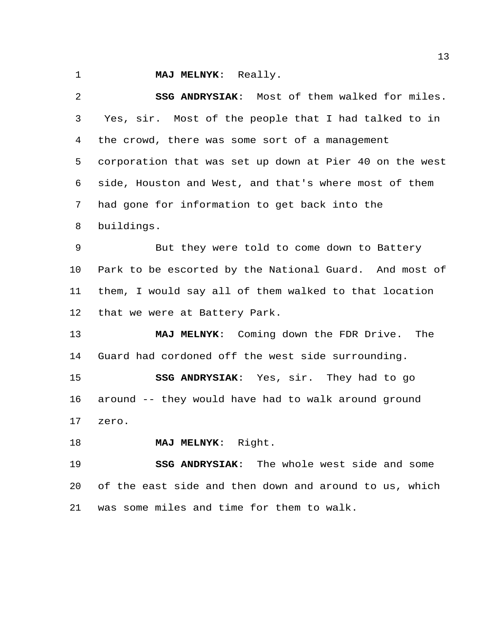**MAJ MELNYK**: Really.

 **SSG ANDRYSIAK**: Most of them walked for miles. Yes, sir. Most of the people that I had talked to in the crowd, there was some sort of a management corporation that was set up down at Pier 40 on the west side, Houston and West, and that's where most of them had gone for information to get back into the buildings. But they were told to come down to Battery Park to be escorted by the National Guard. And most of them, I would say all of them walked to that location that we were at Battery Park. **MAJ MELNYK**: Coming down the FDR Drive. The Guard had cordoned off the west side surrounding. **SSG ANDRYSIAK**: Yes, sir. They had to go around -- they would have had to walk around ground zero. **MAJ MELNYK**: Right.

 **SSG ANDRYSIAK**: The whole west side and some of the east side and then down and around to us, which was some miles and time for them to walk.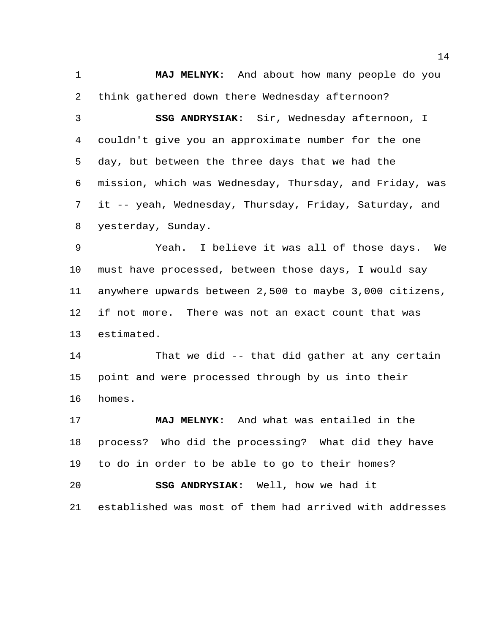**MAJ MELNYK**: And about how many people do you think gathered down there Wednesday afternoon?

 **SSG ANDRYSIAK**: Sir, Wednesday afternoon, I couldn't give you an approximate number for the one day, but between the three days that we had the mission, which was Wednesday, Thursday, and Friday, was it -- yeah, Wednesday, Thursday, Friday, Saturday, and yesterday, Sunday.

 Yeah. I believe it was all of those days. We must have processed, between those days, I would say anywhere upwards between 2,500 to maybe 3,000 citizens, if not more. There was not an exact count that was estimated.

 That we did -- that did gather at any certain point and were processed through by us into their homes.

 **MAJ MELNYK**: And what was entailed in the process? Who did the processing? What did they have to do in order to be able to go to their homes? **SSG ANDRYSIAK**: Well, how we had it established was most of them had arrived with addresses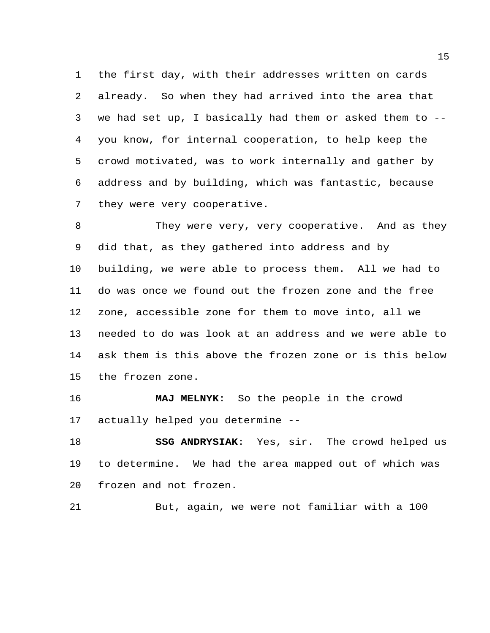the first day, with their addresses written on cards already. So when they had arrived into the area that we had set up, I basically had them or asked them to -- you know, for internal cooperation, to help keep the crowd motivated, was to work internally and gather by address and by building, which was fantastic, because they were very cooperative.

 They were very, very cooperative. And as they did that, as they gathered into address and by building, we were able to process them. All we had to do was once we found out the frozen zone and the free zone, accessible zone for them to move into, all we needed to do was look at an address and we were able to ask them is this above the frozen zone or is this below the frozen zone.

 **MAJ MELNYK**: So the people in the crowd actually helped you determine --

 **SSG ANDRYSIAK**: Yes, sir. The crowd helped us to determine. We had the area mapped out of which was frozen and not frozen.

But, again, we were not familiar with a 100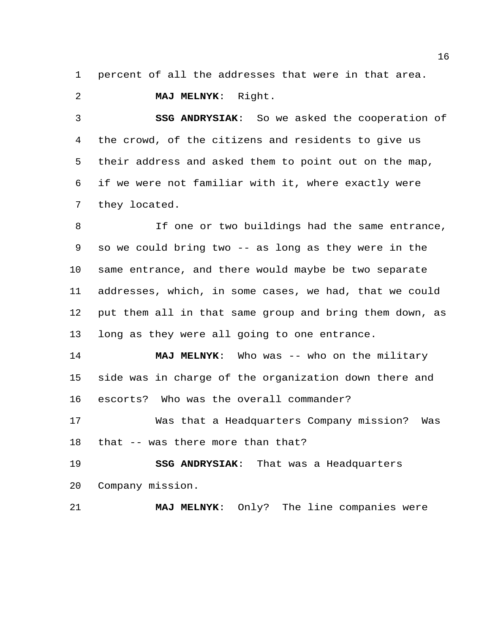percent of all the addresses that were in that area.

**MAJ MELNYK**: Right.

 **SSG ANDRYSIAK**: So we asked the cooperation of the crowd, of the citizens and residents to give us their address and asked them to point out on the map, if we were not familiar with it, where exactly were they located.

8 If one or two buildings had the same entrance, so we could bring two -- as long as they were in the same entrance, and there would maybe be two separate addresses, which, in some cases, we had, that we could put them all in that same group and bring them down, as long as they were all going to one entrance.

**MAJ MELNYK:** Who was -- who on the military side was in charge of the organization down there and escorts? Who was the overall commander?

 Was that a Headquarters Company mission? Was that -- was there more than that?

 **SSG ANDRYSIAK**: That was a Headquarters Company mission.

**MAJ MELNYK**: Only? The line companies were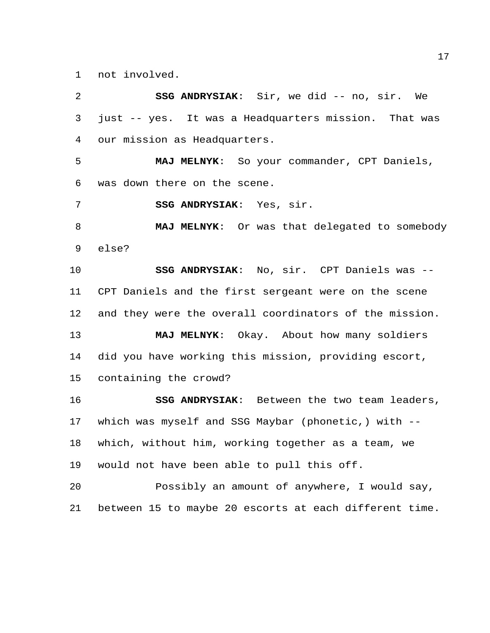not involved.

 **SSG ANDRYSIAK**: Sir, we did -- no, sir. We just -- yes. It was a Headquarters mission. That was our mission as Headquarters. **MAJ MELNYK**: So your commander, CPT Daniels, was down there on the scene. **SSG ANDRYSIAK**: Yes, sir. **MAJ MELNYK**: Or was that delegated to somebody else? **SSG ANDRYSIAK**: No, sir. CPT Daniels was -- CPT Daniels and the first sergeant were on the scene and they were the overall coordinators of the mission. **MAJ MELNYK**: Okay. About how many soldiers did you have working this mission, providing escort, containing the crowd? **SSG ANDRYSIAK**: Between the two team leaders, which was myself and SSG Maybar (phonetic,) with -- which, without him, working together as a team, we would not have been able to pull this off. Possibly an amount of anywhere, I would say, between 15 to maybe 20 escorts at each different time.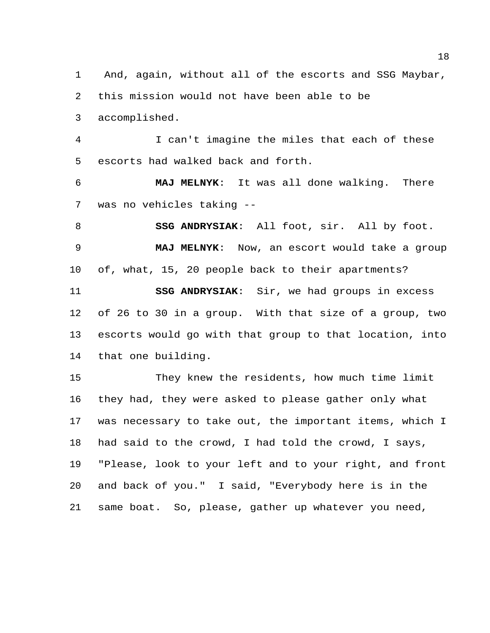And, again, without all of the escorts and SSG Maybar, this mission would not have been able to be

 I can't imagine the miles that each of these escorts had walked back and forth.

accomplished.

 **MAJ MELNYK**: It was all done walking. There was no vehicles taking --

 **SSG ANDRYSIAK**: All foot, sir. All by foot. **MAJ MELNYK**: Now, an escort would take a group of, what, 15, 20 people back to their apartments? **SSG ANDRYSIAK**: Sir, we had groups in excess of 26 to 30 in a group. With that size of a group, two escorts would go with that group to that location, into that one building.

 They knew the residents, how much time limit they had, they were asked to please gather only what was necessary to take out, the important items, which I had said to the crowd, I had told the crowd, I says, "Please, look to your left and to your right, and front and back of you." I said, "Everybody here is in the same boat. So, please, gather up whatever you need,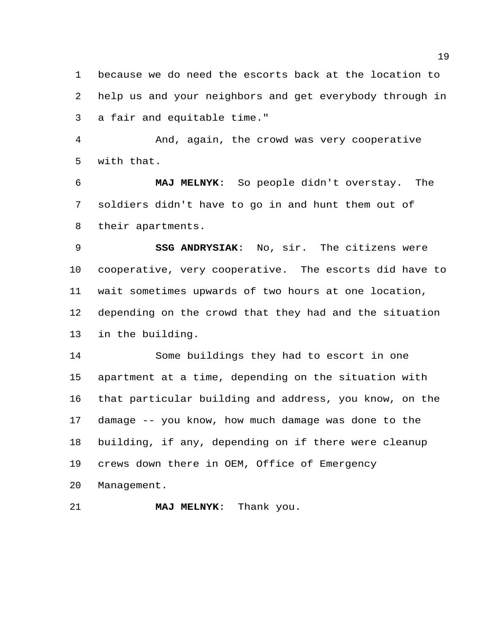because we do need the escorts back at the location to help us and your neighbors and get everybody through in a fair and equitable time."

 And, again, the crowd was very cooperative with that.

 **MAJ MELNYK**: So people didn't overstay. The soldiers didn't have to go in and hunt them out of their apartments.

 **SSG ANDRYSIAK**: No, sir. The citizens were cooperative, very cooperative. The escorts did have to wait sometimes upwards of two hours at one location, depending on the crowd that they had and the situation in the building.

 Some buildings they had to escort in one apartment at a time, depending on the situation with that particular building and address, you know, on the damage -- you know, how much damage was done to the building, if any, depending on if there were cleanup crews down there in OEM, Office of Emergency Management.

**MAJ MELNYK**: Thank you.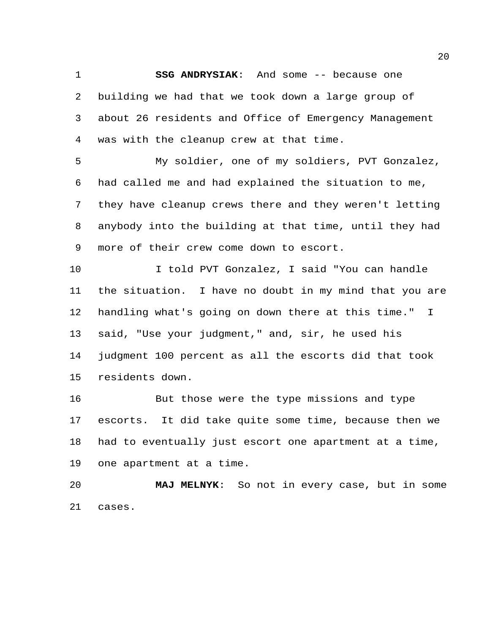**SSG ANDRYSIAK**: And some -- because one building we had that we took down a large group of about 26 residents and Office of Emergency Management was with the cleanup crew at that time.

 My soldier, one of my soldiers, PVT Gonzalez, had called me and had explained the situation to me, they have cleanup crews there and they weren't letting anybody into the building at that time, until they had more of their crew come down to escort.

 I told PVT Gonzalez, I said "You can handle the situation. I have no doubt in my mind that you are handling what's going on down there at this time." I said, "Use your judgment," and, sir, he used his judgment 100 percent as all the escorts did that took residents down.

 But those were the type missions and type escorts. It did take quite some time, because then we had to eventually just escort one apartment at a time, one apartment at a time.

 **MAJ MELNYK**: So not in every case, but in some cases.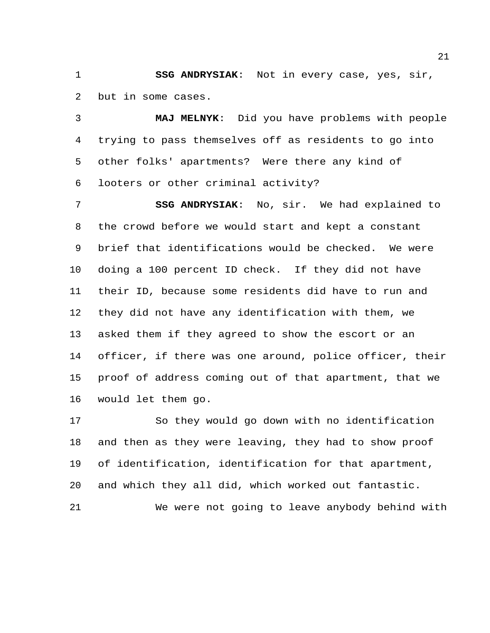**SSG ANDRYSIAK**: Not in every case, yes, sir, but in some cases.

 **MAJ MELNYK**: Did you have problems with people trying to pass themselves off as residents to go into other folks' apartments? Were there any kind of looters or other criminal activity?

 **SSG ANDRYSIAK**: No, sir. We had explained to the crowd before we would start and kept a constant brief that identifications would be checked. We were doing a 100 percent ID check. If they did not have their ID, because some residents did have to run and they did not have any identification with them, we asked them if they agreed to show the escort or an officer, if there was one around, police officer, their proof of address coming out of that apartment, that we would let them go.

 So they would go down with no identification and then as they were leaving, they had to show proof of identification, identification for that apartment, and which they all did, which worked out fantastic. We were not going to leave anybody behind with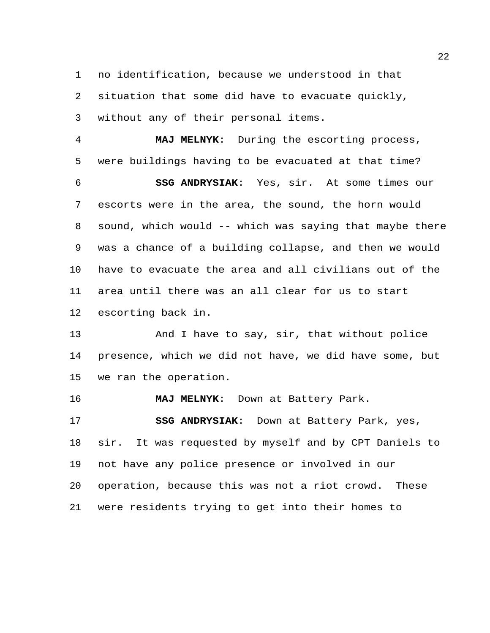no identification, because we understood in that situation that some did have to evacuate quickly, without any of their personal items.

 **MAJ MELNYK**: During the escorting process, were buildings having to be evacuated at that time? **SSG ANDRYSIAK**: Yes, sir. At some times our escorts were in the area, the sound, the horn would sound, which would -- which was saying that maybe there was a chance of a building collapse, and then we would have to evacuate the area and all civilians out of the area until there was an all clear for us to start escorting back in.

13 And I have to say, sir, that without police presence, which we did not have, we did have some, but we ran the operation.

**MAJ MELNYK**: Down at Battery Park.

 **SSG ANDRYSIAK**: Down at Battery Park, yes, sir. It was requested by myself and by CPT Daniels to not have any police presence or involved in our operation, because this was not a riot crowd. These were residents trying to get into their homes to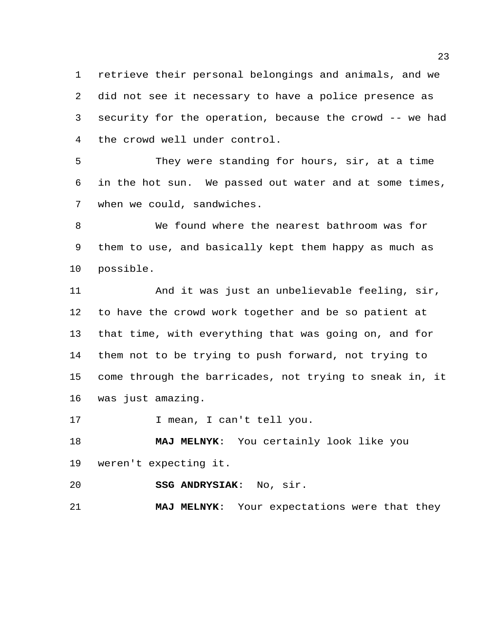retrieve their personal belongings and animals, and we did not see it necessary to have a police presence as security for the operation, because the crowd -- we had the crowd well under control.

 They were standing for hours, sir, at a time in the hot sun. We passed out water and at some times, when we could, sandwiches.

 We found where the nearest bathroom was for them to use, and basically kept them happy as much as possible.

 And it was just an unbelievable feeling, sir, to have the crowd work together and be so patient at that time, with everything that was going on, and for them not to be trying to push forward, not trying to come through the barricades, not trying to sneak in, it was just amazing.

17 I mean, I can't tell you.

 **MAJ MELNYK**: You certainly look like you weren't expecting it.

**SSG ANDRYSIAK**: No, sir.

**MAJ MELNYK**: Your expectations were that they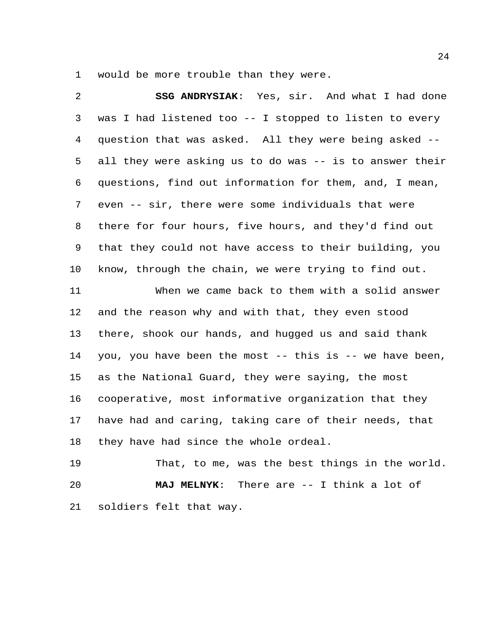would be more trouble than they were.

| 2  | SSG ANDRYSIAK: Yes, sir. And what I had done            |  |  |  |  |  |  |
|----|---------------------------------------------------------|--|--|--|--|--|--|
| 3  | was I had listened too -- I stopped to listen to every  |  |  |  |  |  |  |
| 4  | question that was asked. All they were being asked --   |  |  |  |  |  |  |
| 5  | all they were asking us to do was -- is to answer their |  |  |  |  |  |  |
| 6  | questions, find out information for them, and, I mean,  |  |  |  |  |  |  |
| 7  | even -- sir, there were some individuals that were      |  |  |  |  |  |  |
| 8  | there for four hours, five hours, and they'd find out   |  |  |  |  |  |  |
| 9  | that they could not have access to their building, you  |  |  |  |  |  |  |
| 10 | know, through the chain, we were trying to find out.    |  |  |  |  |  |  |
| 11 | When we came back to them with a solid answer           |  |  |  |  |  |  |
| 12 | and the reason why and with that, they even stood       |  |  |  |  |  |  |
| 13 | there, shook our hands, and hugged us and said thank    |  |  |  |  |  |  |
| 14 | you, you have been the most -- this is -- we have been, |  |  |  |  |  |  |
| 15 | as the National Guard, they were saying, the most       |  |  |  |  |  |  |
| 16 | cooperative, most informative organization that they    |  |  |  |  |  |  |
| 17 | have had and caring, taking care of their needs, that   |  |  |  |  |  |  |
| 18 | they have had since the whole ordeal.                   |  |  |  |  |  |  |
| 19 | That, to me, was the best things in the world.          |  |  |  |  |  |  |
| 20 | There are $-$ I think a lot of<br><b>MAJ MELNYK:</b>    |  |  |  |  |  |  |

soldiers felt that way.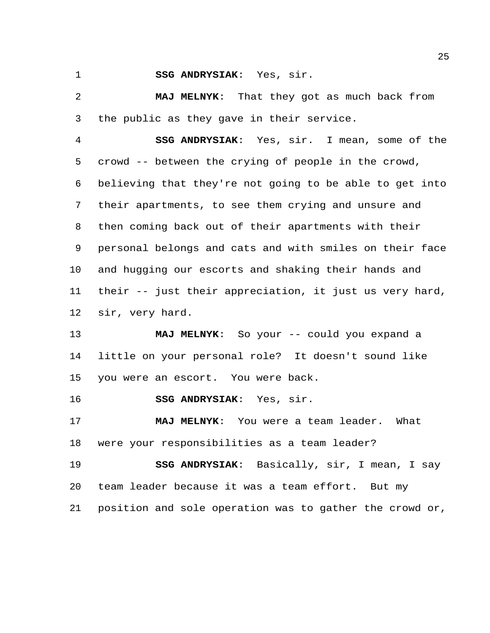**SSG ANDRYSIAK**: Yes, sir.

 **MAJ MELNYK**: That they got as much back from the public as they gave in their service.

 **SSG ANDRYSIAK**: Yes, sir. I mean, some of the crowd -- between the crying of people in the crowd, believing that they're not going to be able to get into their apartments, to see them crying and unsure and then coming back out of their apartments with their personal belongs and cats and with smiles on their face and hugging our escorts and shaking their hands and their -- just their appreciation, it just us very hard, sir, very hard.

 **MAJ MELNYK**: So your -- could you expand a little on your personal role? It doesn't sound like you were an escort. You were back.

**SSG ANDRYSIAK**: Yes, sir.

 **MAJ MELNYK**: You were a team leader. What were your responsibilities as a team leader?

 **SSG ANDRYSIAK**: Basically, sir, I mean, I say team leader because it was a team effort. But my position and sole operation was to gather the crowd or,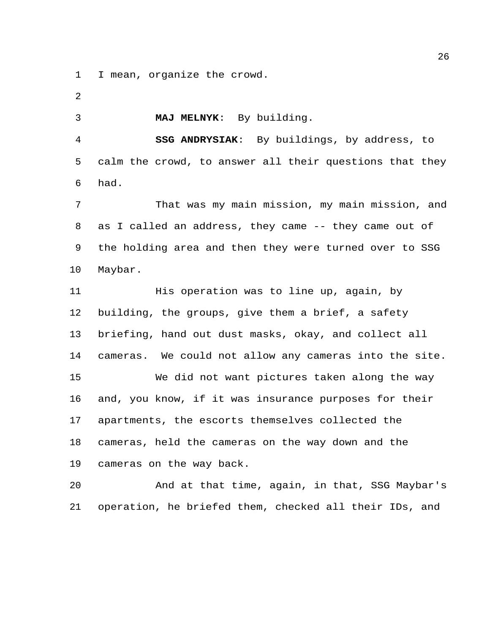I mean, organize the crowd.

 **MAJ MELNYK**: By building. **SSG ANDRYSIAK**: By buildings, by address, to calm the crowd, to answer all their questions that they had.

 That was my main mission, my main mission, and as I called an address, they came -- they came out of the holding area and then they were turned over to SSG Maybar.

11 His operation was to line up, again, by building, the groups, give them a brief, a safety briefing, hand out dust masks, okay, and collect all cameras. We could not allow any cameras into the site. We did not want pictures taken along the way and, you know, if it was insurance purposes for their apartments, the escorts themselves collected the cameras, held the cameras on the way down and the cameras on the way back.

 And at that time, again, in that, SSG Maybar's operation, he briefed them, checked all their IDs, and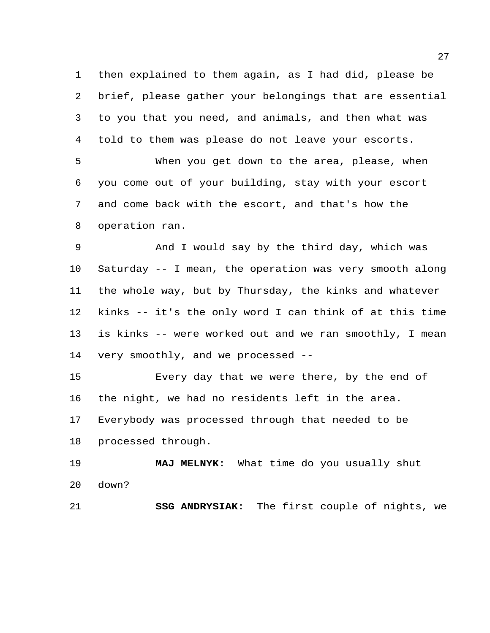then explained to them again, as I had did, please be brief, please gather your belongings that are essential to you that you need, and animals, and then what was told to them was please do not leave your escorts. When you get down to the area, please, when

 you come out of your building, stay with your escort and come back with the escort, and that's how the operation ran.

 And I would say by the third day, which was Saturday -- I mean, the operation was very smooth along the whole way, but by Thursday, the kinks and whatever kinks -- it's the only word I can think of at this time is kinks -- were worked out and we ran smoothly, I mean very smoothly, and we processed --

 Every day that we were there, by the end of the night, we had no residents left in the area.

Everybody was processed through that needed to be

processed through.

 **MAJ MELNYK**: What time do you usually shut down?

**SSG ANDRYSIAK**: The first couple of nights, we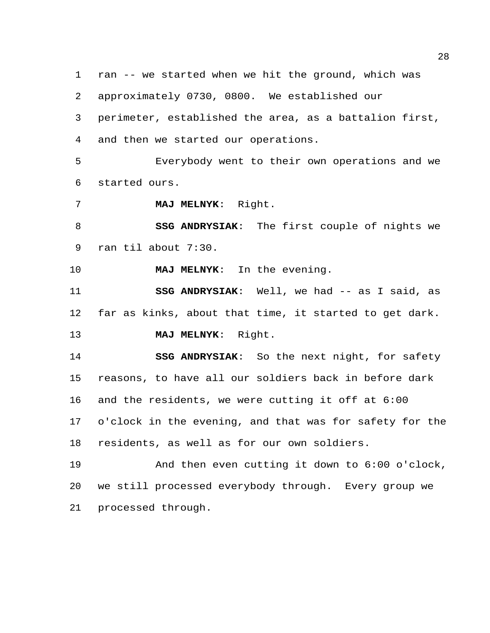ran -- we started when we hit the ground, which was approximately 0730, 0800. We established our perimeter, established the area, as a battalion first, and then we started our operations. Everybody went to their own operations and we

started ours.

**MAJ MELNYK**: Right.

 **SSG ANDRYSIAK**: The first couple of nights we ran til about 7:30.

**MAJ MELNYK**: In the evening.

 **SSG ANDRYSIAK**: Well, we had -- as I said, as far as kinks, about that time, it started to get dark. **MAJ MELNYK**: Right.

 **SSG ANDRYSIAK**: So the next night, for safety reasons, to have all our soldiers back in before dark and the residents, we were cutting it off at 6:00 o'clock in the evening, and that was for safety for the residents, as well as for our own soldiers.

 And then even cutting it down to 6:00 o'clock, we still processed everybody through. Every group we processed through.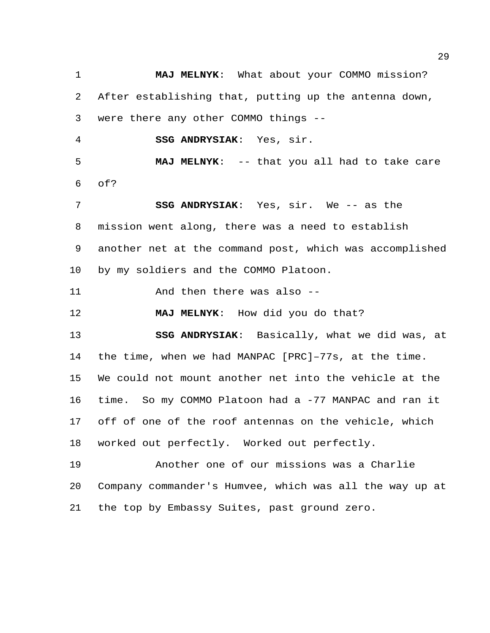**MAJ MELNYK**: What about your COMMO mission? After establishing that, putting up the antenna down, were there any other COMMO things -- **SSG ANDRYSIAK**: Yes, sir. **MAJ MELNYK**: -- that you all had to take care of? **SSG ANDRYSIAK**: Yes, sir. We -- as the mission went along, there was a need to establish another net at the command post, which was accomplished by my soldiers and the COMMO Platoon. 11 And then there was also -- **MAJ MELNYK**: How did you do that? **SSG ANDRYSIAK**: Basically, what we did was, at the time, when we had MANPAC [PRC]–77s, at the time. We could not mount another net into the vehicle at the time. So my COMMO Platoon had a -77 MANPAC and ran it off of one of the roof antennas on the vehicle, which worked out perfectly. Worked out perfectly. Another one of our missions was a Charlie Company commander's Humvee, which was all the way up at the top by Embassy Suites, past ground zero.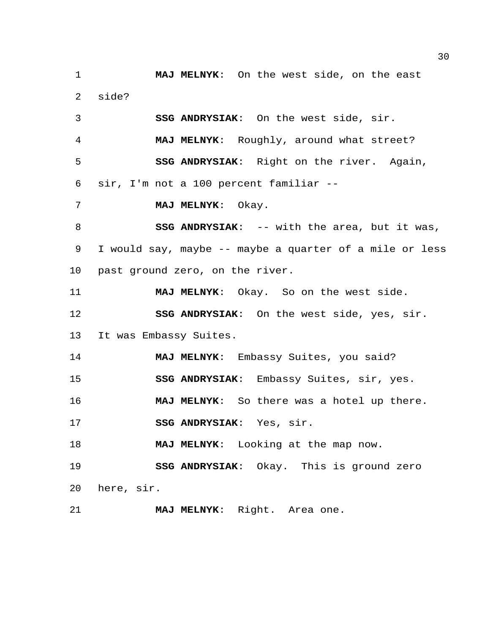**MAJ MELNYK**: On the west side, on the east side? **SSG ANDRYSIAK**: On the west side, sir. **MAJ MELNYK**: Roughly, around what street? **SSG ANDRYSIAK**: Right on the river. Again, sir, I'm not a 100 percent familiar -- **MAJ MELNYK**: Okay. **SSG ANDRYSIAK:** -- with the area, but it was, I would say, maybe -- maybe a quarter of a mile or less past ground zero, on the river. **MAJ MELNYK**: Okay. So on the west side. **SSG ANDRYSIAK**: On the west side, yes, sir. It was Embassy Suites.

 **MAJ MELNYK**: Embassy Suites, you said? **SSG ANDRYSIAK**: Embassy Suites, sir, yes. **MAJ MELNYK**: So there was a hotel up there. **SSG ANDRYSIAK**: Yes, sir. **MAJ MELNYK**: Looking at the map now.

 **SSG ANDRYSIAK**: Okay. This is ground zero here, sir.

**MAJ MELNYK**: Right. Area one.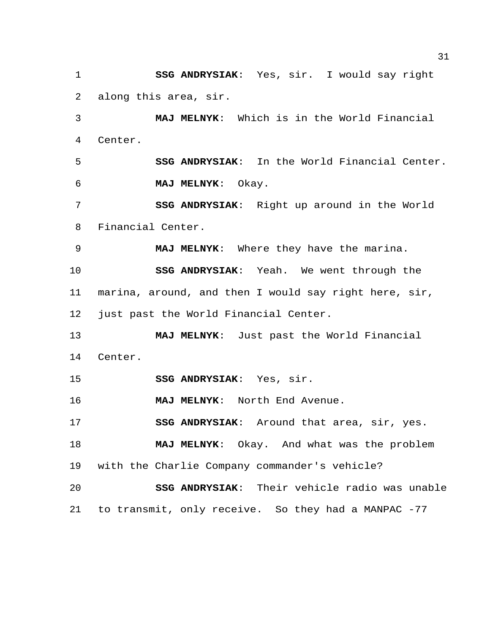**SSG ANDRYSIAK**: Yes, sir. I would say right along this area, sir.

 **MAJ MELNYK**: Which is in the World Financial Center.

 **SSG ANDRYSIAK**: In the World Financial Center. **MAJ MELNYK**: Okay.

 **SSG ANDRYSIAK**: Right up around in the World Financial Center.

**MAJ MELNYK**: Where they have the marina.

 **SSG ANDRYSIAK**: Yeah. We went through the marina, around, and then I would say right here, sir, just past the World Financial Center.

 **MAJ MELNYK**: Just past the World Financial Center.

**SSG ANDRYSIAK**: Yes, sir.

**MAJ MELNYK**: North End Avenue.

**SSG ANDRYSIAK**: Around that area, sir, yes.

**MAJ MELNYK**: Okay. And what was the problem

with the Charlie Company commander's vehicle?

 **SSG ANDRYSIAK**: Their vehicle radio was unable to transmit, only receive. So they had a MANPAC -77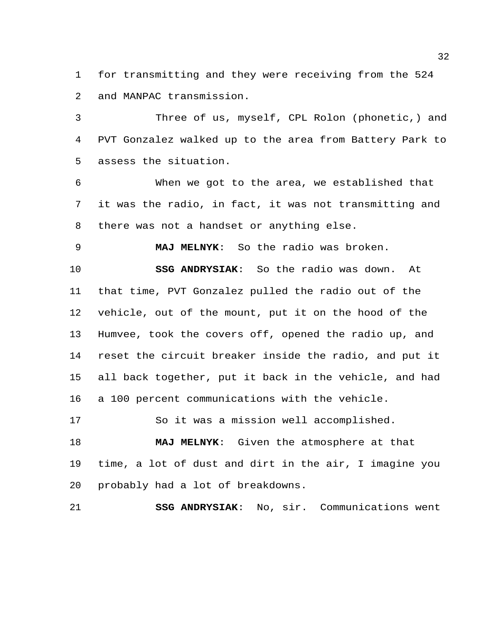for transmitting and they were receiving from the 524 and MANPAC transmission.

 Three of us, myself, CPL Rolon (phonetic,) and PVT Gonzalez walked up to the area from Battery Park to assess the situation.

 When we got to the area, we established that it was the radio, in fact, it was not transmitting and there was not a handset or anything else.

**MAJ MELNYK**: So the radio was broken.

 **SSG ANDRYSIAK**: So the radio was down. At that time, PVT Gonzalez pulled the radio out of the vehicle, out of the mount, put it on the hood of the Humvee, took the covers off, opened the radio up, and reset the circuit breaker inside the radio, and put it all back together, put it back in the vehicle, and had a 100 percent communications with the vehicle.

So it was a mission well accomplished.

 **MAJ MELNYK**: Given the atmosphere at that time, a lot of dust and dirt in the air, I imagine you probably had a lot of breakdowns.

**SSG ANDRYSIAK**: No, sir. Communications went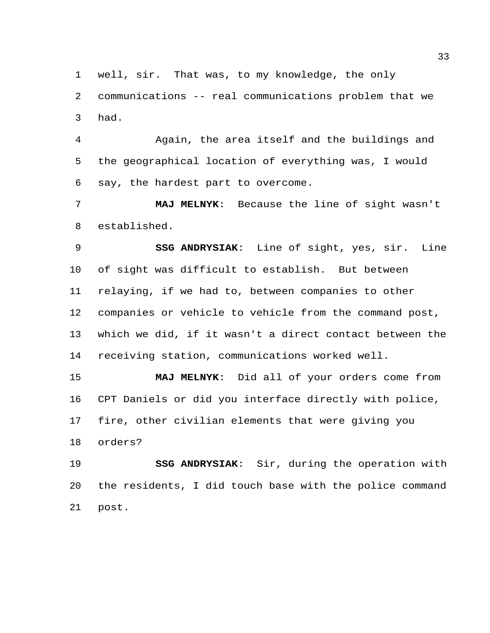well, sir. That was, to my knowledge, the only

 communications -- real communications problem that we had.

 Again, the area itself and the buildings and the geographical location of everything was, I would say, the hardest part to overcome.

 **MAJ MELNYK**: Because the line of sight wasn't established.

 **SSG ANDRYSIAK**: Line of sight, yes, sir. Line of sight was difficult to establish. But between relaying, if we had to, between companies to other companies or vehicle to vehicle from the command post, which we did, if it wasn't a direct contact between the receiving station, communications worked well.

 **MAJ MELNYK**: Did all of your orders come from CPT Daniels or did you interface directly with police, fire, other civilian elements that were giving you orders?

 **SSG ANDRYSIAK**: Sir, during the operation with the residents, I did touch base with the police command post.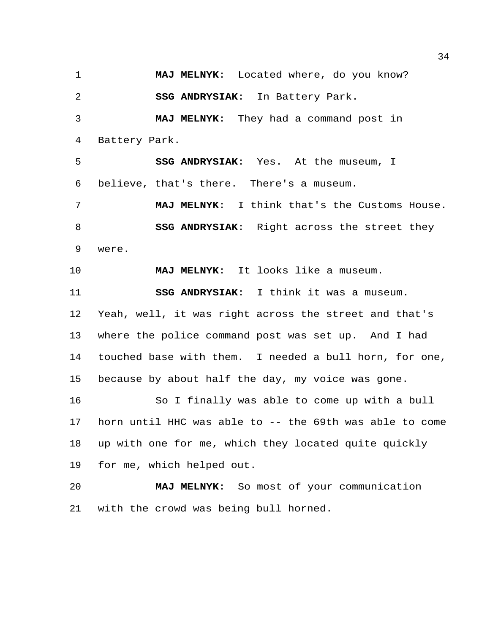**MAJ MELNYK**: Located where, do you know? **SSG ANDRYSIAK**: In Battery Park. **MAJ MELNYK**: They had a command post in Battery Park. **SSG ANDRYSIAK**: Yes. At the museum, I believe, that's there. There's a museum. **MAJ MELNYK**: I think that's the Customs House. **SSG ANDRYSIAK**: Right across the street they were. **MAJ MELNYK**: It looks like a museum. **SSG ANDRYSIAK**: I think it was a museum. Yeah, well, it was right across the street and that's

 where the police command post was set up. And I had touched base with them. I needed a bull horn, for one, because by about half the day, my voice was gone.

 So I finally was able to come up with a bull horn until HHC was able to -- the 69th was able to come up with one for me, which they located quite quickly for me, which helped out.

 **MAJ MELNYK**: So most of your communication with the crowd was being bull horned.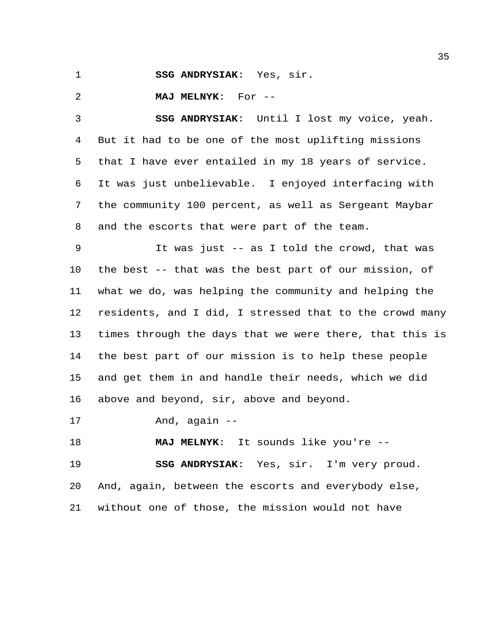**SSG ANDRYSIAK**: Yes, sir.

**MAJ MELNYK**: For --

 **SSG ANDRYSIAK**: Until I lost my voice, yeah. But it had to be one of the most uplifting missions that I have ever entailed in my 18 years of service. It was just unbelievable. I enjoyed interfacing with the community 100 percent, as well as Sergeant Maybar and the escorts that were part of the team.

 It was just -- as I told the crowd, that was the best -- that was the best part of our mission, of what we do, was helping the community and helping the residents, and I did, I stressed that to the crowd many times through the days that we were there, that this is the best part of our mission is to help these people and get them in and handle their needs, which we did above and beyond, sir, above and beyond.

And, again --

**MAJ MELNYK**: It sounds like you're --

 **SSG ANDRYSIAK**: Yes, sir. I'm very proud. And, again, between the escorts and everybody else, without one of those, the mission would not have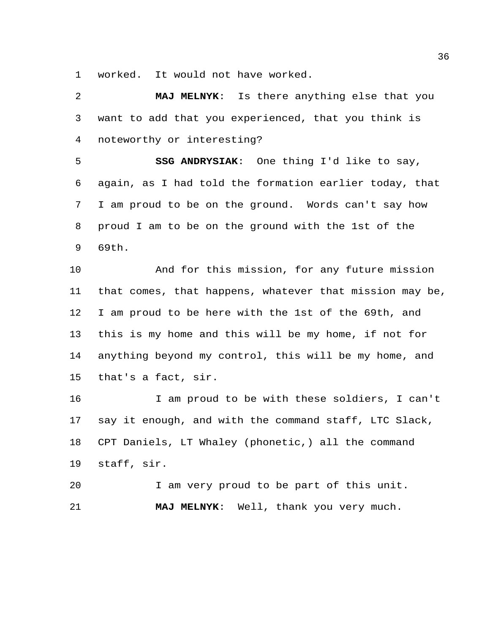worked. It would not have worked.

 **MAJ MELNYK**: Is there anything else that you want to add that you experienced, that you think is noteworthy or interesting? **SSG ANDRYSIAK**: One thing I'd like to say, again, as I had told the formation earlier today, that I am proud to be on the ground. Words can't say how proud I am to be on the ground with the 1st of the 69th. And for this mission, for any future mission that comes, that happens, whatever that mission may be, I am proud to be here with the 1st of the 69th, and this is my home and this will be my home, if not for anything beyond my control, this will be my home, and that's a fact, sir. I am proud to be with these soldiers, I can't say it enough, and with the command staff, LTC Slack,

 CPT Daniels, LT Whaley (phonetic,) all the command staff, sir.

 I am very proud to be part of this unit. **MAJ MELNYK**: Well, thank you very much.